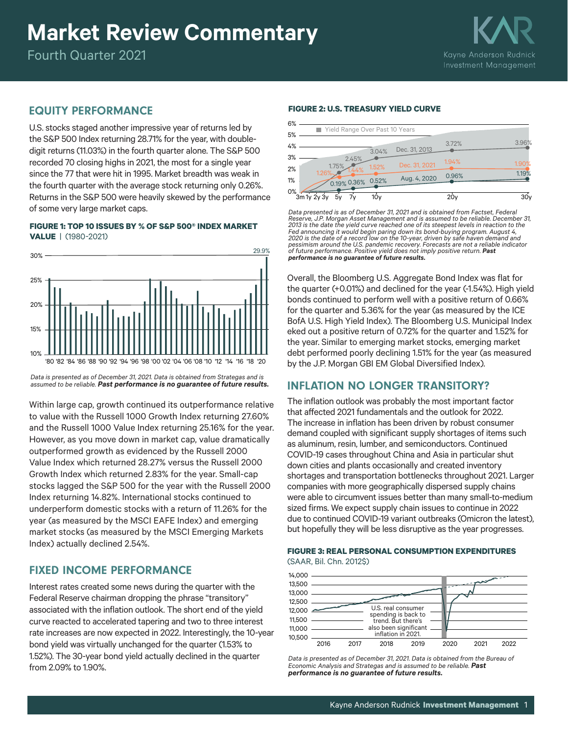# **Market Review Commentary**

Fourth Quarter 2021

# EQUITY PERFORMANCE

U.S. stocks staged another impressive year of returns led by the S&P 500 Index returning 28.71% for the year, with doubledigit returns (11.03%) in the fourth quarter alone. The S&P 500 recorded 70 closing highs in 2021, the most for a single year since the 77 that were hit in 1995. Market breadth was weak in the fourth quarter with the average stock returning only 0.26%. Returns in the S&P 500 were heavily skewed by the performance of some very large market caps.

**FIGURE 1: TOP 10 ISSUES BY % OF S&P 500® INDEX MARKET VALUE** |(1980-2021)



*Data is presented as of December 31, 2021. Data is obtained from Strategas and is assumed to be reliable. Past performance is no guarantee of future results.*

Within large cap, growth continued its outperformance relative to value with the Russell 1000 Growth Index returning 27.60% and the Russell 1000 Value Index returning 25.16% for the year. However, as you move down in market cap, value dramatically outperformed growth as evidenced by the Russell 2000 Value Index which returned 28.27% versus the Russell 2000 Growth Index which returned 2.83% for the year. Small-cap stocks lagged the S&P 500 for the year with the Russell 2000 Index returning 14.82%. International stocks continued to underperform domestic stocks with a return of 11.26% for the year (as measured by the MSCI EAFE Index) and emerging market stocks (as measured by the MSCI Emerging Markets Index) actually declined 2.54%.

# FIXED INCOME PERFORMANCE

Interest rates created some news during the quarter with the Federal Reserve chairman dropping the phrase "transitory" associated with the inflation outlook. The short end of the yield curve reacted to accelerated tapering and two to three interest rate increases are now expected in 2022. Interestingly, the 10-year bond yield was virtually unchanged for the quarter (1.53% to 1.52%). The 30-year bond yield actually declined in the quarter from 2.09% to 1.90%.

#### **FIGURE 2: U.S. TREASURY YIELD CURVE**

| 6% |                                |       |       |                   |               |       |                 |
|----|--------------------------------|-------|-------|-------------------|---------------|-------|-----------------|
| 5% | Yield Range Over Past 10 Years |       |       |                   |               |       |                 |
| 4% |                                |       |       |                   |               | 3.72% | 3.96%           |
| 3% |                                |       | 2.45% | 3.04%             | Dec. 31, 2013 |       |                 |
| 2% | 1.26%                          | 1.75% | 44%   | 1.52%             | Dec. 31, 2021 | 1.94% | 1.90%<br>1.19%  |
| 1% |                                |       |       | 0.19% 0.36% 0.52% | Aug. 4, 2020  | 0.96% |                 |
| 0% | 3m1v2v3v                       | 5۷    |       | 10v               |               | 20v   | 30 <sub>V</sub> |

*Data presented is as of December 31, 2021 and is obtained from Factset, Federal Reserve, J.P. Morgan Asset Management and is assumed to be reliable. December 31, 2013 is the date the yield curve reached one of its steepest levels in reaction to the Fed announcing it would begin paring down its bond-buying program. August 4, 2020 is the date of a record low on the 10-year, driven by safe haven demand and pessimism around the U.S. pandemic recovery. Forecasts are not a reliable indicator of future performance. Positive yield does not imply positive return. Past performance is no guarantee of future results.*

Overall, the Bloomberg U.S. Aggregate Bond Index was flat for the quarter (+0.01%) and declined for the year (-1.54%). High yield bonds continued to perform well with a positive return of 0.66% for the quarter and 5.36% for the year (as measured by the ICE BofA U.S. High Yield Index). The Bloomberg U.S. Municipal Index eked out a positive return of 0.72% for the quarter and 1.52% for the year. Similar to emerging market stocks, emerging market debt performed poorly declining 1.51% for the year (as measured by the J.P. Morgan GBI EM Global Diversified Index).

## INFLATION NO LONGER TRANSITORY?

The inflation outlook was probably the most important factor that affected 2021 fundamentals and the outlook for 2022. The increase in inflation has been driven by robust consumer demand coupled with significant supply shortages of items such as aluminum, resin, lumber, and semiconductors. Continued COVID-19 cases throughout China and Asia in particular shut down cities and plants occasionally and created inventory shortages and transportation bottlenecks throughout 2021. Larger companies with more geographically dispersed supply chains were able to circumvent issues better than many small-to-medium sized firms. We expect supply chain issues to continue in 2022 due to continued COVID-19 variant outbreaks (Omicron the latest), but hopefully they will be less disruptive as the year progresses.

#### **FIGURE 3: REAL PERSONAL CONSUMPTION EXPENDITURES** (SAAR, Bil. Chn. 2012\$)



*Data is presented as of December 31, 2021. Data is obtained from the Bureau of Economic Analysis and Strategas and is assumed to be reliable. Past performance is no guarantee of future results.*